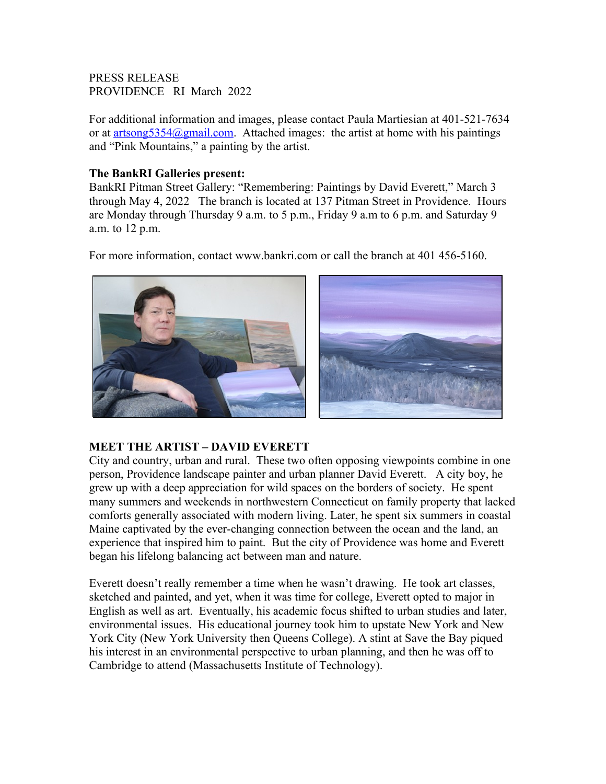## PRESS RELEASE PROVIDENCE RI March 2022

For additional information and images, please contact Paula Martiesian at 401-521-7634 or at  $artsong5354@gmail.com$ . Attached images: the artist at home with his paintings and "Pink Mountains," a painting by the artist.

## **The BankRI Galleries present:**

BankRI Pitman Street Gallery: "Remembering: Paintings by David Everett," March 3 through May 4, 2022 The branch is located at 137 Pitman Street in Providence. Hours are Monday through Thursday 9 a.m. to 5 p.m., Friday 9 a.m to 6 p.m. and Saturday 9 a.m. to 12 p.m.

For more information, contact www.bankri.com or call the branch at 401 456-5160.



## **MEET THE ARTIST – DAVID EVERETT**

City and country, urban and rural. These two often opposing viewpoints combine in one person, Providence landscape painter and urban planner David Everett. A city boy, he grew up with a deep appreciation for wild spaces on the borders of society. He spent many summers and weekends in northwestern Connecticut on family property that lacked comforts generally associated with modern living. Later, he spent six summers in coastal Maine captivated by the ever-changing connection between the ocean and the land, an experience that inspired him to paint. But the city of Providence was home and Everett began his lifelong balancing act between man and nature.

Everett doesn't really remember a time when he wasn't drawing. He took art classes, sketched and painted, and yet, when it was time for college, Everett opted to major in English as well as art. Eventually, his academic focus shifted to urban studies and later, environmental issues. His educational journey took him to upstate New York and New York City (New York University then Queens College). A stint at Save the Bay piqued his interest in an environmental perspective to urban planning, and then he was off to Cambridge to attend (Massachusetts Institute of Technology).